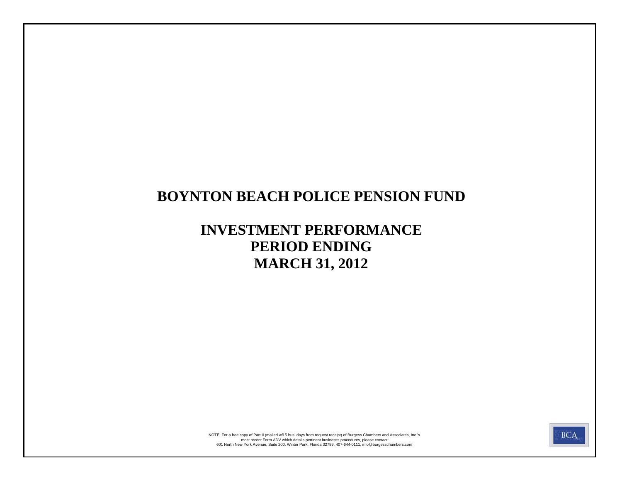# **BOYNTON BEACH POLICE PENSION FUND**

# **INVESTMENT PERFORMANCE PERIOD ENDING MARCH 31, 2012**



most recent Form ADV which details pertinent businesss procedures, please contact:<br>601 North New York Avenue, Suite 200, Winter Park, Florida 32789, 407-644-0111, info@burgesschambers.com NOTE: For a free copy of Part II (mailed w/i 5 bus. days from request receipt) of Burgess Chambers and Associates, Inc.'s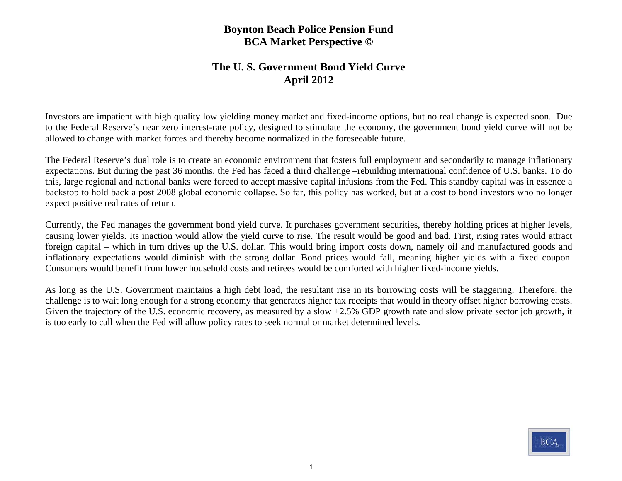### **Boynton Beach Police Pension Fund BCA Market Perspective ©**

### **The U. S. Government Bond Yield Curve April 2012**

Investors are impatient with high quality low yielding money market and fixed-income options, but no real change is expected soon. Due to the Federal Reserve's near zero interest-rate policy, designed to stimulate the economy, the government bond yield curve will not be allowed to change with market forces and thereby become normalized in the foreseeable future.

The Federal Reserve's dual role is to create an economic environment that fosters full employment and secondarily to manage inflationary expectations. But during the past 36 months, the Fed has faced a third challenge –rebuilding international confidence of U.S. banks. To do this, large regional and national banks were forced to accept massive capital infusions from the Fed. This standby capital was in essence a backstop to hold back a post 2008 global economic collapse. So far, this policy has worked, but at a cost to bond investors who no longer expect positive real rates of return.

Currently, the Fed manages the government bond yield curve. It purchases government securities, thereby holding prices at higher levels, causing lower yields. Its inaction would allow the yield curve to rise. The result would be good and bad. First, rising rates would attract foreign capital – which in turn drives up the U.S. dollar. This would bring import costs down, namely oil and manufactured goods and inflationary expectations would diminish with the strong dollar. Bond prices would fall, meaning higher yields with a fixed coupon. Consumers would benefit from lower household costs and retirees would be comforted with higher fixed-income yields.

As long as the U.S. Government maintains a high debt load, the resultant rise in its borrowing costs will be staggering. Therefore, the challenge is to wait long enough for a strong economy that generates higher tax receipts that would in theory offset higher borrowing costs. Given the trajectory of the U.S. economic recovery, as measured by a slow +2.5% GDP growth rate and slow private sector job growth, it is too early to call when the Fed will allow policy rates to seek normal or market determined levels.

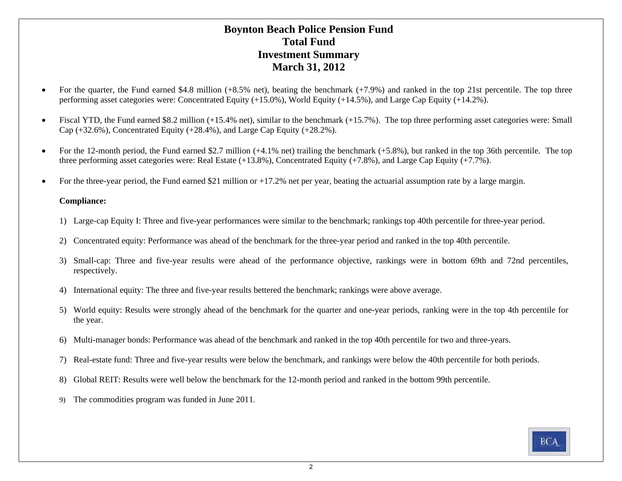### **Boynton Beach Police Pension Fund Total FundInvestment Summary March 31, 2012**

- $\bullet$  For the quarter, the Fund earned \$4.8 million (+8.5% net), beating the benchmark (+7.9%) and ranked in the top 21st percentile. The top three performing asset categories were: Concentrated Equity (+15.0%), World Equity (+14.5%), and Large Cap Equity (+14.2%).
- $\bullet$ Fiscal YTD, the Fund earned \$8.2 million (+15.4% net), similar to the benchmark (+15.7%). The top three performing asset categories were: Small Cap (+32.6%), Concentrated Equity (+28.4%), and Large Cap Equity (+28.2%).
- $\bullet$ For the 12-month period, the Fund earned \$2.7 million (+4.1% net) trailing the benchmark (+5.8%), but ranked in the top 36th percentile. The top three performing asset categories were: Real Estate (+13.8%), Concentrated Equity (+7.8%), and Large Cap Equity (+7.7%).
- 0 For the three-year period, the Fund earned \$21 million or +17.2% net per year, beating the actuarial assumption rate by a large margin.

### **Compliance:**

- 1) Large-cap Equity I: Three and five-year performances were similar to the benchmark; rankings top 40th percentile for three-year period.
- 2) Concentrated equity: Performance was ahead of the benchmark for the three-year period and ranked in the top 40th percentile.
- 3) Small-cap: Three and five-year results were ahead of the performance objective, rankings were in bottom 69th and 72nd percentiles, respectively.
- 4) International equity: The three and five-year results bettered the benchmark; rankings were above average.
- 5) World equity: Results were strongly ahead of the benchmark for the quarter and one-year periods, ranking were in the top 4th percentile for the year.
- 6) Multi-manager bonds: Performance was ahead of the benchmark and ranked in the top 40th percentile for two and three-years.
- 7) Real-estate fund: Three and five-year results were below the benchmark, and rankings were below the 40th percentile for both periods.
- 8) Global REIT: Results were well below the benchmark for the 12-month period and ranked in the bottom 99th percentile.
- 9) The commodities program was funded in June 2011.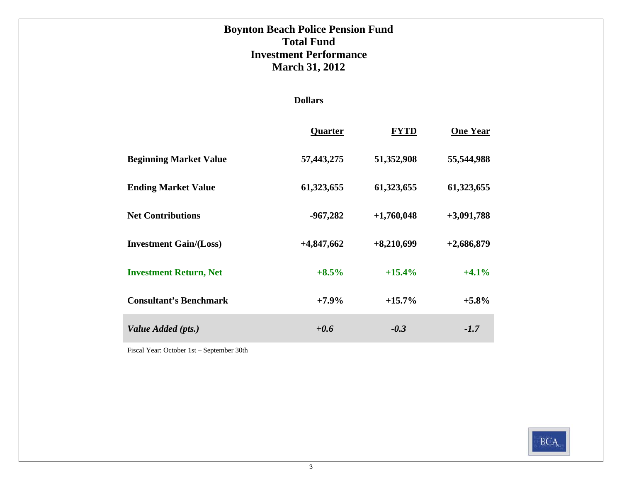# **Boynton Beach Police Pension Fund Total FundInvestment Performance March 31, 2012**

### **Dollars**

|                               | Quarter      | <b>FYTD</b>  | <b>One Year</b> |
|-------------------------------|--------------|--------------|-----------------|
| <b>Beginning Market Value</b> | 57,443,275   | 51,352,908   | 55,544,988      |
| <b>Ending Market Value</b>    | 61,323,655   | 61,323,655   | 61,323,655      |
| <b>Net Contributions</b>      | $-967,282$   | $+1,760,048$ | $+3,091,788$    |
| <b>Investment Gain/(Loss)</b> | $+4,847,662$ | $+8,210,699$ | $+2,686,879$    |
| <b>Investment Return, Net</b> | $+8.5%$      | $+15.4%$     | $+4.1%$         |
| <b>Consultant's Benchmark</b> | $+7.9\%$     | $+15.7\%$    | $+5.8\%$        |
| Value Added (pts.)            | $+0.6$       | $-0.3$       | $-1.7$          |

Fiscal Year: October 1st – September 30th

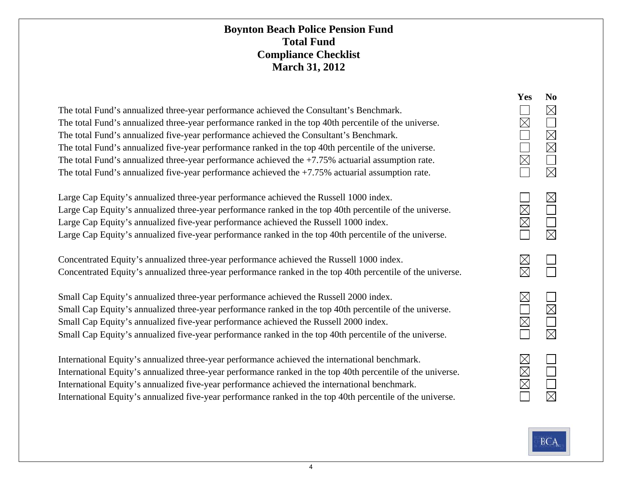### **Boynton Beach Police Pension Fund Total FundCompliance Checklist March 31, 2012**

| The total Fund's annualized three-year performance achieved the Consultant's Benchmark.               |
|-------------------------------------------------------------------------------------------------------|
| The total Fund's annualized three-year performance ranked in the top 40th percentile of the universe. |
| The total Fund's annualized five-year performance achieved the Consultant's Benchmark.                |
| The total Fund's annualized five-year performance ranked in the top 40th percentile of the universe.  |
| The total Fund's annualized three-year performance achieved the $+7.75\%$ actuarial assumption rate.  |
| The total Fund's annualized five-year performance achieved the $+7.75\%$ actuarial assumption rate.   |

Large Cap Equity's annualized three-year performance achieved the Russell 1000 index. Large Cap Equity's annualized three-year performance ranked in the top 40th percentile of the universe. Large Cap Equity's annualized five-year performance achieved the Russell 1000 index. Large Cap Equity's annualized five-year performance ranked in the top 40th percentile of the universe.

Concentrated Equity's annualized three-year performance achieved the Russell 1000 index. Concentrated Equity's annualized three-year performance ranked in the top 40th percentile of the universe.

Small Cap Equity's annualized three-year performance achieved the Russell 2000 index. Small Cap Equity's annualized three-year performance ranked in the top 40th percentile of the universe. Small Cap Equity's annualized five-year performance achieved the Russell 2000 index. Small Cap Equity's annualized five-year performance ranked in the top 40th percentile of the universe.

International Equity's annualized three-year performance achieved the international benchmark. International Equity's annualized three-year performance ranked in the top 40th percentile of the universe. International Equity's annualized five-year performance achieved the international benchmark. International Equity's annualized five-year performance ranked in the top 40th percentile of the universe.

| Yes                                                                 | No                                                   |
|---------------------------------------------------------------------|------------------------------------------------------|
| $\overline{\phantom{0}}$<br>$\overline{\overline{\mathbf{X}}}$<br>I | D<br>$\overline{\sum}$                               |
|                                                                     | D<br>$\overline{\phantom{a}}$<br>Ī                   |
| $\boxtimes$<br>.<br><<br>$\overline{\triangleright}$                |                                                      |
| D<br>Í                                                              | $\overline{\phantom{a}}$<br>$\overline{\phantom{0}}$ |
| D                                                                   | $\overline{\phantom{0}}$<br>i<br>L                   |

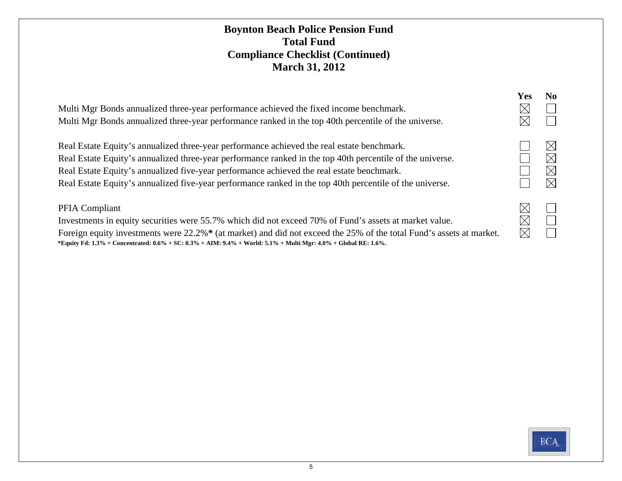### **Boynton Beach Police Pension Fund Total FundCompliance Checklist (Continued) March 31, 2012**

| Multi Mgr Bonds annualized three-year performance achieved the fixed income benchmark.<br>Multi Mgr Bonds annualized three-year performance ranked in the top 40th percentile of the universe.                                                                                                                                                                                                                   | Yes<br>$\times$ | No.                                                |
|------------------------------------------------------------------------------------------------------------------------------------------------------------------------------------------------------------------------------------------------------------------------------------------------------------------------------------------------------------------------------------------------------------------|-----------------|----------------------------------------------------|
| Real Estate Equity's annualized three-year performance achieved the real estate benchmark.<br>Real Estate Equity's annualized three-year performance ranked in the top 40th percentile of the universe.<br>Real Estate Equity's annualized five-year performance achieved the real estate benchmark.<br>Real Estate Equity's annualized five-year performance ranked in the top 40th percentile of the universe. |                 | $\boxtimes$<br>$\times$<br>$\times$<br>$\boxtimes$ |
| PFIA Compliant<br>Investments in equity securities were 55.7% which did not exceed 70% of Fund's assets at market value.                                                                                                                                                                                                                                                                                         | IX              |                                                    |

 **\*Equity Fd: 1.3% + Concentrated: 0.6% + SC: 0.3% + AIM: 9.4% + World: 5.1% + Multi Mgr: 4.0% + Global RE: 1.6%.** Foreign equity investments were 22.2%**\*** (at market) and did not exceed the 25% of the total Fund's assets at market.

| ↘ | $\sqrt{2}$                              |
|---|-----------------------------------------|
|   | $\overline{\triangleright}$<br>$\times$ |
|   |                                         |

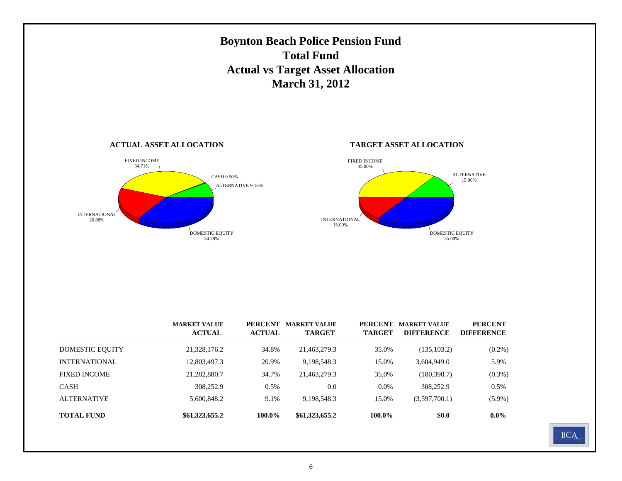

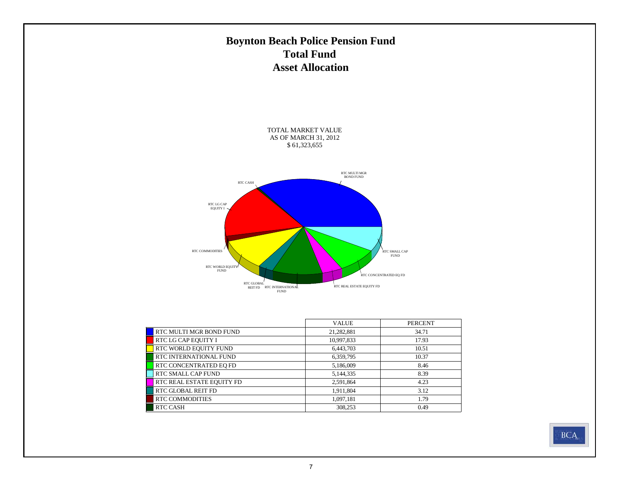# **Boynton Beach Police Pension Fund Total Fund Asset Allocation**

TOTAL MARKET VALUE AS OF MARCH 31, 2012 \$ 61,323,655



|                           | <b>VALUE</b> | <b>PERCENT</b> |
|---------------------------|--------------|----------------|
| RTC MULTI MGR BOND FUND   | 21,282,881   | 34.71          |
| RTC LG CAP EQUITY I       | 10,997,833   | 17.93          |
| RTC WORLD EQUITY FUND     | 6,443,703    | 10.51          |
| RTC INTERNATIONAL FUND    | 6,359,795    | 10.37          |
| RTC CONCENTRATED EQ FD    | 5,186,009    | 8.46           |
| RTC SMALL CAP FUND        | 5,144,335    | 8.39           |
| RTC REAL ESTATE EQUITY FD | 2,591,864    | 4.23           |
| <b>RTC GLOBAL REIT FD</b> | 1,911,804    | 3.12           |
| <b>RTC COMMODITIES</b>    | 1,097,181    | 1.79           |
| <b>RTC CASH</b>           | 308,253      | 0.49           |

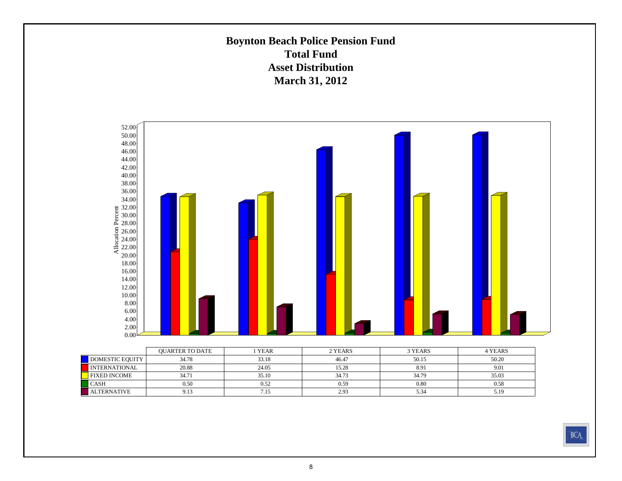### **Boynton Beach Police Pension Fund Total FundAsset DistributionMarch 31, 2012**

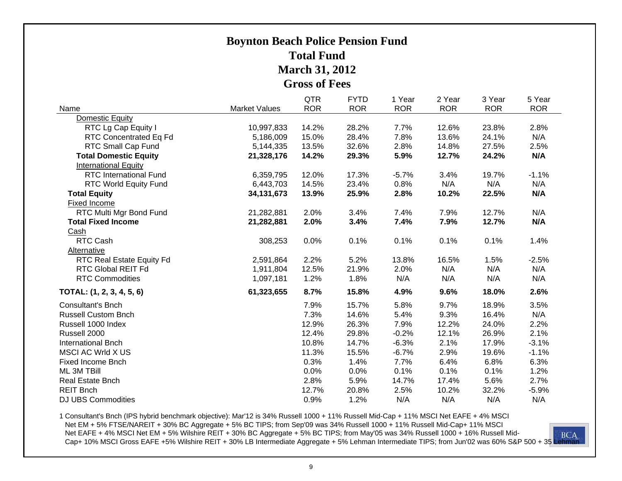# **Boynton Beach Police Pension Fund Total FundMarch 31, 2012 Gross of Fees**

|                               |                      | <b>QTR</b> | <b>FYTD</b> | 1 Year     | 2 Year     | 3 Year     | 5 Year     |
|-------------------------------|----------------------|------------|-------------|------------|------------|------------|------------|
| Name                          | <b>Market Values</b> | <b>ROR</b> | <b>ROR</b>  | <b>ROR</b> | <b>ROR</b> | <b>ROR</b> | <b>ROR</b> |
| Domestic Equity               |                      |            |             |            |            |            |            |
| RTC Lg Cap Equity I           | 10,997,833           | 14.2%      | 28.2%       | 7.7%       | 12.6%      | 23.8%      | 2.8%       |
| RTC Concentrated Eq Fd        | 5,186,009            | 15.0%      | 28.4%       | 7.8%       | 13.6%      | 24.1%      | N/A        |
| RTC Small Cap Fund            | 5,144,335            | 13.5%      | 32.6%       | 2.8%       | 14.8%      | 27.5%      | 2.5%       |
| <b>Total Domestic Equity</b>  | 21,328,176           | 14.2%      | 29.3%       | 5.9%       | 12.7%      | 24.2%      | N/A        |
| <b>International Equity</b>   |                      |            |             |            |            |            |            |
| <b>RTC International Fund</b> | 6,359,795            | 12.0%      | 17.3%       | $-5.7%$    | 3.4%       | 19.7%      | $-1.1%$    |
| <b>RTC World Equity Fund</b>  | 6,443,703            | 14.5%      | 23.4%       | 0.8%       | N/A        | N/A        | N/A        |
| <b>Total Equity</b>           | 34, 131, 673         | 13.9%      | 25.9%       | 2.8%       | 10.2%      | 22.5%      | N/A        |
| Fixed Income                  |                      |            |             |            |            |            |            |
| RTC Multi Mgr Bond Fund       | 21,282,881           | 2.0%       | 3.4%        | 7.4%       | 7.9%       | 12.7%      | N/A        |
| <b>Total Fixed Income</b>     | 21,282,881           | 2.0%       | 3.4%        | 7.4%       | 7.9%       | 12.7%      | N/A        |
| Cash                          |                      |            |             |            |            |            |            |
| RTC Cash                      | 308,253              | 0.0%       | 0.1%        | 0.1%       | 0.1%       | 0.1%       | 1.4%       |
| Alternative                   |                      |            |             |            |            |            |            |
| RTC Real Estate Equity Fd     | 2,591,864            | 2.2%       | 5.2%        | 13.8%      | 16.5%      | 1.5%       | $-2.5%$    |
| RTC Global REIT Fd            | 1,911,804            | 12.5%      | 21.9%       | 2.0%       | N/A        | N/A        | N/A        |
| <b>RTC Commodities</b>        | 1,097,181            | 1.2%       | 1.8%        | N/A        | N/A        | N/A        | N/A        |
| TOTAL: (1, 2, 3, 4, 5, 6)     | 61,323,655           | 8.7%       | 15.8%       | 4.9%       | 9.6%       | 18.0%      | 2.6%       |
| <b>Consultant's Bnch</b>      |                      | 7.9%       | 15.7%       | 5.8%       | 9.7%       | 18.9%      | 3.5%       |
| <b>Russell Custom Bnch</b>    |                      | 7.3%       | 14.6%       | 5.4%       | 9.3%       | 16.4%      | N/A        |
| Russell 1000 Index            |                      | 12.9%      | 26.3%       | 7.9%       | 12.2%      | 24.0%      | 2.2%       |
| Russell 2000                  |                      | 12.4%      | 29.8%       | $-0.2%$    | 12.1%      | 26.9%      | 2.1%       |
| <b>International Bnch</b>     |                      | 10.8%      | 14.7%       | $-6.3%$    | 2.1%       | 17.9%      | $-3.1%$    |
| MSCI AC Wrld X US             |                      | 11.3%      | 15.5%       | $-6.7%$    | 2.9%       | 19.6%      | $-1.1%$    |
| <b>Fixed Income Bnch</b>      |                      | 0.3%       | 1.4%        | 7.7%       | 6.4%       | 6.8%       | 6.3%       |
| ML 3M TBill                   |                      | 0.0%       | 0.0%        | 0.1%       | 0.1%       | 0.1%       | 1.2%       |
| Real Estate Bnch              |                      | 2.8%       | 5.9%        | 14.7%      | 17.4%      | 5.6%       | 2.7%       |
| <b>REIT Bnch</b>              |                      | 12.7%      | 20.8%       | 2.5%       | 10.2%      | 32.2%      | $-5.9%$    |
| <b>DJ UBS Commodities</b>     |                      | 0.9%       | 1.2%        | N/A        | N/A        | N/A        | N/A        |

1 Consultant's Bnch (IPS hybrid benchmark objective): Mar'12 is 34% Russell 1000 + 11% Russell Mid-Cap + 11% MSCI Net EAFE + 4% MSCI Net EM + 5% FTSE/NAREIT + 30% BC Aggregate + 5% BC TIPS; from Sep'09 was 34% Russell 1000 + 11% Russell Mid-Cap+ 11% MSCI<br>Net EAFE + 4% MSCI Net EM + 5% Wilshire REIT + 30% BC Aggregate + 5% BC TIPS; from May'05 was 34% Ru Net EAFE + 4% MSCI Net EM + 5% Wilshire REIT + 30% BC Aggregate + 5% BC TIPS; from May'05 was 34% Russell 1000 + 16% Russell Mid-Cap+ 10% MSCI Gross EAFE +5% Wilshire REIT + 30% LB Intermediate Aggregate + 5% Lehman Intermediate TIPS; from Jun'02 was 60% S&P 500 + 35 Lehman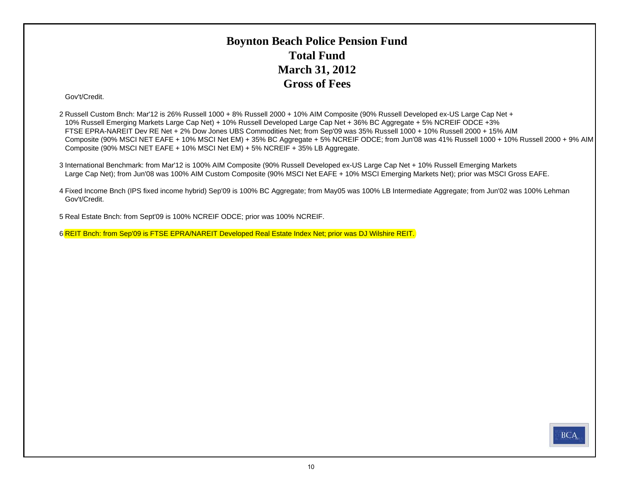# **Boynton Beach Police Pension Fund Total FundMarch 31, 2012 Gross of Fees**

#### Gov't/Credit.

2 Russell Custom Bnch: Mar'12 is 26% Russell 1000 + 8% Russell 2000 + 10% AIM Composite (90% Russell Developed ex-US Large Cap Net + 10% Russell Emerging Markets Large Cap Net) + 10% Russell Developed Large Cap Net + 36% BC Aggregate + 5% NCREIF ODCE +3% FTSE EPRA-NAREIT Dev RE Net + 2% Dow Jones UBS Commodities Net; from Sep'09 was 35% Russell 1000 + 10% Russell 2000 + 15% AIM Composite (90% MSCI NET EAFE + 10% MSCI Net EM) + 35% BC Aggregate + 5% NCREIF ODCE; from Jun'08 was 41% Russell 1000 + 10% Russell 2000 + 9% AIM Composite (90% MSCI NET EAFE + 10% MSCI Net EM) + 5% NCREIF + 35% LB Aggregate.

3 International Benchmark: from Mar'12 is 100% AIM Composite (90% Russell Developed ex-US Large Cap Net + 10% Russell Emerging Markets Large Cap Net); from Jun'08 was 100% AIM Custom Composite (90% MSCI Net EAFE + 10% MSCI Emerging Markets Net); prior was MSCI Gross EAFE.

4 Fixed Income Bnch (IPS fixed income hybrid) Sep'09 is 100% BC Aggregate; from May05 was 100% LB Intermediate Aggregate; from Jun'02 was 100% Lehman Gov't/Credit.

5 Real Estate Bnch: from Sept'09 is 100% NCREIF ODCE; prior was 100% NCREIF.

6 REIT Bnch: from Sep'09 is FTSE EPRA/NAREIT Developed Real Estate Index Net; prior was DJ Wilshire REIT.

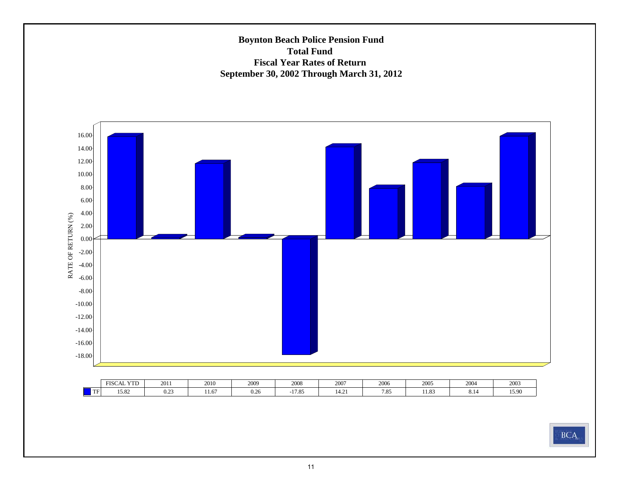### **Boynton Beach Police Pension Fund Total Fund Fiscal Year Rates of Return September 30, 2002 Through March 31, 2012**



|                  | <b>YTD</b><br><b>FISCAI</b><br>AL | 2011                     | 2010   | 2009             | 2008  | 2007  | 2006 | 2005              | 200 | 2003  |
|------------------|-----------------------------------|--------------------------|--------|------------------|-------|-------|------|-------------------|-----|-------|
| <b>TE</b><br>-11 | $1 - 02$<br>19.04                 | 0 <sup>2</sup><br>$0.4-$ | 1 I .U | $\Omega$<br>0.Z6 | 17.85 | 14.Z. | 7.85 | $\Omega$<br>11.09 | O.1 | 15.90 |

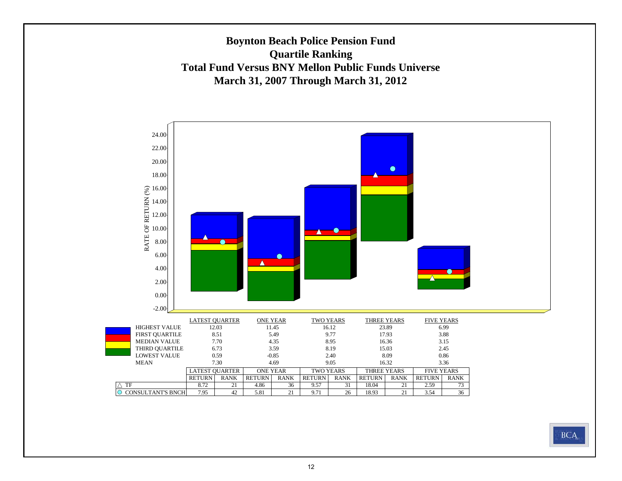### **Boynton Beach Police Pension Fund Quartile Ranking Total Fund Versus BNY Mellon Public Funds UniverseMarch 31, 2007 Through March 31, 2012**

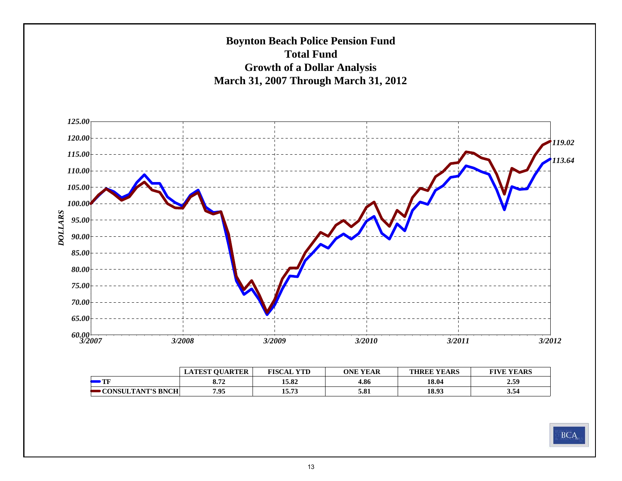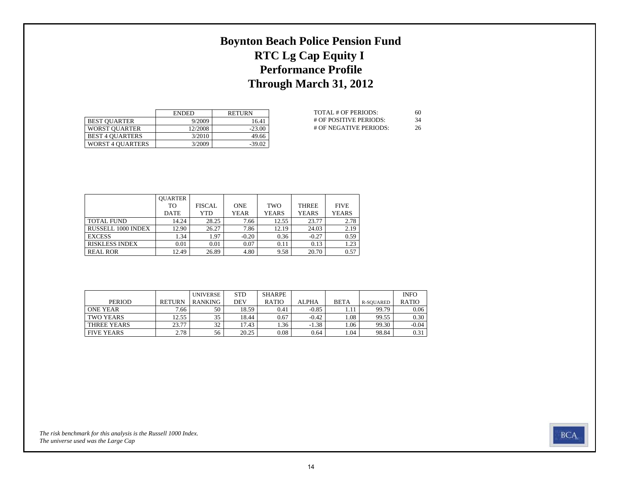# **Boynton Beach Police Pension Fund RTC Lg Cap Equity I Performance Profile Through March 31, 2012**

|                         | <b>ENDED</b> | <b>RETURN</b> |
|-------------------------|--------------|---------------|
| <b>BEST OUARTER</b>     | 9/2009       | 16.41         |
| <b>WORST OUARTER</b>    | 12/2008      | $-23.00$      |
| <b>BEST 4 OUARTERS</b>  | 3/2010       | 49.66         |
| <b>WORST 4 OUARTERS</b> | 3/2009       | $-39.02$      |

| TOTAL # OF PERIODS:    | 60  |
|------------------------|-----|
| # OF POSITIVE PERIODS: | -34 |
| # OF NEGATIVE PERIODS: | 26  |

|                           | <b>OUARTER</b> |               |             |              |              |              |
|---------------------------|----------------|---------------|-------------|--------------|--------------|--------------|
|                           | TO             | <b>FISCAL</b> | <b>ONE</b>  | TWO          | <b>THREE</b> | <b>FIVE</b>  |
|                           | <b>DATE</b>    | YTD           | <b>YEAR</b> | <b>YEARS</b> | <b>YEARS</b> | <b>YEARS</b> |
| <b>TOTAL FUND</b>         | 14.24          | 28.25         | 7.66        | 12.55        | 23.77        | 2.78         |
| <b>RUSSELL 1000 INDEX</b> | 12.90          | 26.27         | 7.86        | 12.19        | 24.03        | 2.19         |
| <b>EXCESS</b>             | 1.34           | 1.97          | $-0.20$     | 0.36         | $-0.27$      | 0.59         |
| <b>RISKLESS INDEX</b>     | 0.01           | 0.01          | 0.07        | 0.11         | 0.13         | 1.23         |
| <b>REAL ROR</b>           | 12.49          | 26.89         | 4.80        | 9.58         | 20.70        | 0.57         |

|                   |                   | <b>UNIVERSE</b> | <b>STD</b> | SHARPE       |              |             |           | <b>INFO</b>  |
|-------------------|-------------------|-----------------|------------|--------------|--------------|-------------|-----------|--------------|
| <b>PERIOD</b>     | <b>RETURN</b>     | <b>RANKING</b>  | DEV        | <b>RATIO</b> | <b>ALPHA</b> | <b>BETA</b> | R-SOUARED | <b>RATIO</b> |
| ONE YEAR          | 7.66 <sub>1</sub> | 50              | 18.59      | 0.41         | $-0.85$      |             | 99.79     | 0.06         |
| TWO YEARS         | 12.55             | 35              | 18.44      | 0.67         | $-0.42$      | .08         | 99.55     | 0.30         |
| THREE YEARS       | 23.77             | 32              | 17.43      | 1.36         | $-1.38$      | 1.06        | 99.30     | $-0.04$      |
| <b>FIVE YEARS</b> | 2.78              | 56              | 20.25      | 0.08         | 0.64         | 1.04        | 98.84     | 0.31         |

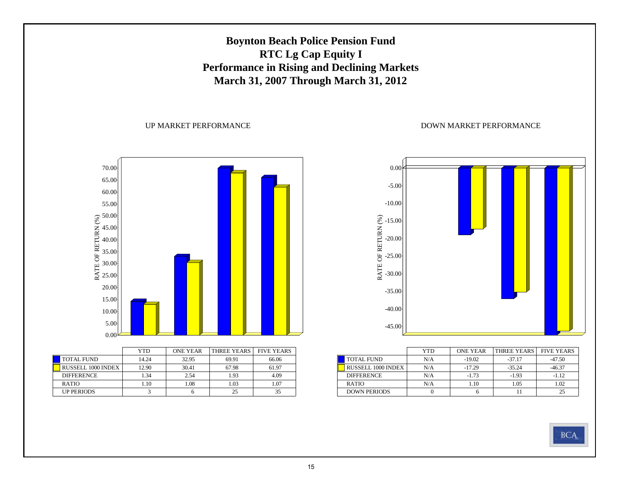# **Boynton Beach Police Pension Fund RTC Lg Cap Equity I Performance in Rising and Declining Markets March 31, 2007 Through March 31, 2012**

#### UP MARKET PERFORMANCE



|                           | YTD   | <b>ONE YEAR</b> | <b>THREE YEARS</b> | <b>FIVE YEARS</b> |
|---------------------------|-------|-----------------|--------------------|-------------------|
| <b>TOTAL FUND</b>         | 14.24 | 32.95           | 69.91              | 66.06             |
| <b>RUSSELL 1000 INDEX</b> | 12.90 | 30.41           | 67.98              | 61.97             |
| <b>DIFFERENCE</b>         | 1.34  | 2.54            | 1.93               | 4.09              |
| <b>RATIO</b>              | 1.10  | 1.08            | 1.03               | 1.07              |
| <b>UP PERIODS</b>         |       |                 | 25                 |                   |



|                     | YTD | <b>ONE YEAR</b> | THREE YEARS | <b>FIVE YEARS</b> |
|---------------------|-----|-----------------|-------------|-------------------|
| <b>TOTAL FUND</b>   | N/A | $-19.02$        | $-37.17$    | -47.50            |
| RUSSELL 1000 INDEX  | N/A | $-17.29$        | $-35.24$    | $-46.37$          |
| <b>DIFFERENCE</b>   | N/A | $-1.73$         | $-1.93$     | $-1.12$           |
| <b>RATIO</b>        | N/A | 1.10            | 1.05        | 1.02              |
| <b>DOWN PERIODS</b> |     |                 |             |                   |

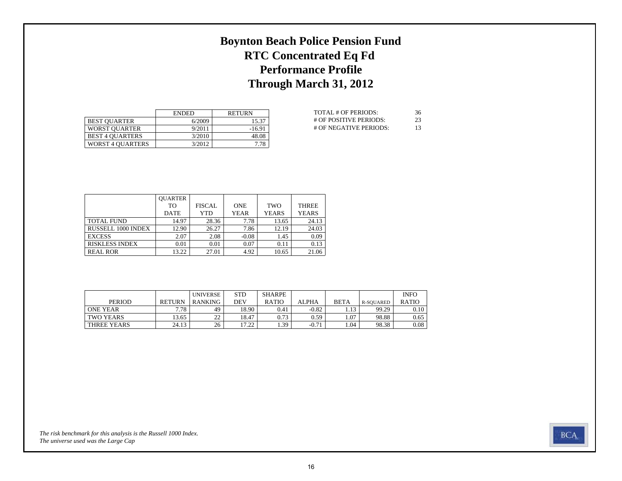# **Boynton Beach Police Pension Fund RTC Concentrated Eq Fd Performance Profile Through March 31, 2012**

|                         | <b>ENDED</b> | <b>RETURN</b> |
|-------------------------|--------------|---------------|
| <b>BEST OUARTER</b>     | 6/2009       | 15.37         |
| <b>WORST OUARTER</b>    | 9/2011       | $-16.91$      |
| <b>BEST 4 OUARTERS</b>  | 3/2010       | 48.08         |
| <b>WORST 4 OUARTERS</b> | 3/2012       | 7.78          |

| TOTAL # OF PERIODS:    | 36 |
|------------------------|----|
| # OF POSITIVE PERIODS: | 23 |
| # OF NEGATIVE PERIODS: | 13 |

|                           | <b>OUARTER</b> |               |             |              |              |
|---------------------------|----------------|---------------|-------------|--------------|--------------|
|                           | TO.            | <b>FISCAL</b> | <b>ONE</b>  | <b>TWO</b>   | <b>THREE</b> |
|                           | <b>DATE</b>    | YTD           | <b>YEAR</b> | <b>YEARS</b> | <b>YEARS</b> |
| <b>TOTAL FUND</b>         | 14.97          | 28.36         | 7.78        | 13.65        | 24.13        |
| <b>RUSSELL 1000 INDEX</b> | 12.90          | 26.27         | 7.86        | 12.19        | 24.03        |
| <b>EXCESS</b>             | 2.07           | 2.08          | $-0.08$     | 1.45         | 0.09         |
| <b>RISKLESS INDEX</b>     | 0.01           | 0.01          | 0.07        | 0.11         | 0.13         |
| <b>REAL ROR</b>           | 13.22          | 27.01         | 4.92        | 10.65        | 21.06        |

|                  |               | <b>UNIVERSE</b> | <b>STD</b> | <b>SHARPE</b> |         |             |           | <b>INFO</b>  |
|------------------|---------------|-----------------|------------|---------------|---------|-------------|-----------|--------------|
| <b>PERIOD</b>    | <b>RETURN</b> | RANKING         | DEV        | <b>RATIO</b>  | ALPHA   | <b>BETA</b> | R-SOUARED | <b>RATIO</b> |
| <b>ONE YEAR</b>  | 7.78          | 49              | 18.90      | 0.41          | $-0.82$ | . 13        | 99.29     | 0.10         |
| <b>TWO YEARS</b> | 13.65         | າາ<br>∸         | 18.47      | 0.73          | 0.59    | 1.07        | 98.88     | 0.65         |
| THREE YEARS      | 24.13         | 26              | רר דו<br>. | 1.39          | $-0.71$ | . 04        | 98.38     | 0.08         |

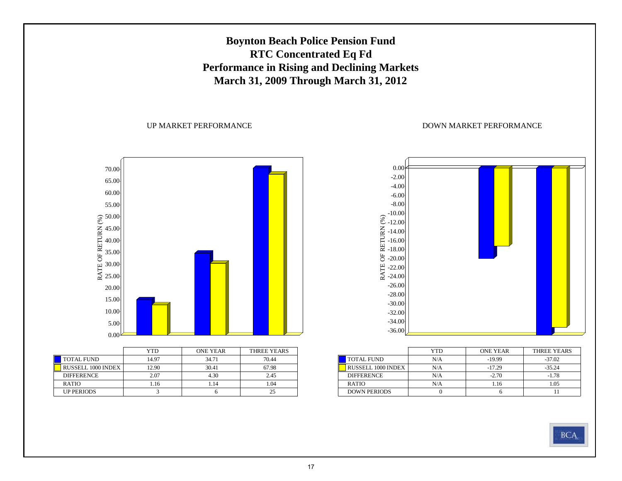# **Boynton Beach Police Pension Fund RTC Concentrated Eq Fd Performance in Rising and Declining Markets March 31, 2009 Through March 31, 2012**

#### UP MARKET PERFORMANCE



|                           | YTD   | ONE YEAR | THREE YEARS |
|---------------------------|-------|----------|-------------|
| <b>TOTAL FUND</b>         | 14.97 | 34.71    | 70.44       |
| <b>RUSSELL 1000 INDEX</b> | 12.90 | 30.41    | 67.98       |
| <b>DIFFERENCE</b>         | 2.07  | 4.30     | 2.45        |
| <b>RATIO</b>              | 1.16  | 1.14     | 1.04        |
| <b>UP PERIODS</b>         |       |          |             |



|                           | YTD | <b>ONE YEAR</b> | THREE YEARS |
|---------------------------|-----|-----------------|-------------|
| <b>TOTAL FUND</b>         | N/A | $-19.99$        | $-37.02$    |
| <b>RUSSELL 1000 INDEX</b> | N/A | $-17.29$        | $-35.24$    |
| <b>DIFFERENCE</b>         | N/A | $-2.70$         | $-1.78$     |
| <b>RATIO</b>              | N/A | 1.16            | 1.05        |
| <b>DOWN PERIODS</b>       |     |                 |             |

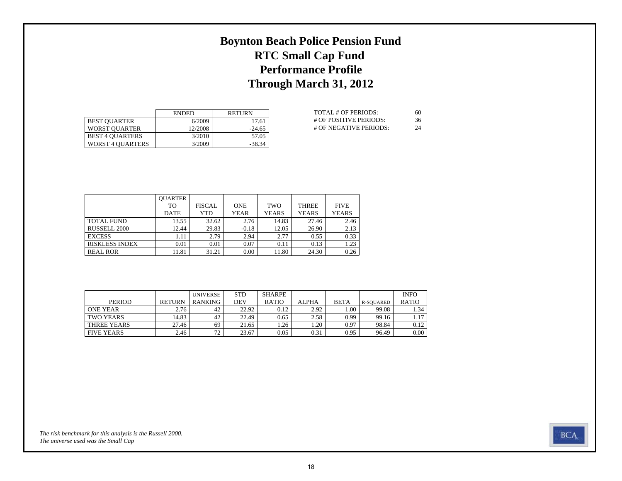# **Boynton Beach Police Pension Fund RTC Small Cap Fund Performance Profile Through March 31, 2012**

|                         | <b>ENDED</b> | <b>RETURN</b> |
|-------------------------|--------------|---------------|
| <b>BEST OUARTER</b>     | 6/2009       | 17.61         |
| <b>WORST OUARTER</b>    | 12/2008      | $-24.65$      |
| <b>BEST 4 OUARTERS</b>  | 3/2010       | 57.05         |
| <b>WORST 4 OUARTERS</b> | 3/2009       | $-38.34$      |

| TOTAL # OF PERIODS:    | 60 |
|------------------------|----|
| # OF POSITIVE PERIODS: | 36 |
| # OF NEGATIVE PERIODS: | 24 |

|                       | <b>OUARTER</b> |               |             |              |              |              |
|-----------------------|----------------|---------------|-------------|--------------|--------------|--------------|
|                       | TO             | <b>FISCAL</b> | <b>ONE</b>  | TWO          | <b>THREE</b> | <b>FIVE</b>  |
|                       | <b>DATE</b>    | YTD           | <b>YEAR</b> | <b>YEARS</b> | <b>YEARS</b> | <b>YEARS</b> |
| <b>TOTAL FUND</b>     | 13.55          | 32.62         | 2.76        | 14.83        | 27.46        | 2.46         |
| RUSSELL 2000          | 12.44          | 29.83         | $-0.18$     | 12.05        | 26.90        | 2.13         |
| <b>EXCESS</b>         | 1.11           | 2.79          | 2.94        | 2.77         | 0.55         | 0.33         |
| <b>RISKLESS INDEX</b> | 0.01           | 0.01          | 0.07        | 0.11         | 0.13         | 1.23         |
| <b>REAL ROR</b>       | 11.81          | 31.21         | 0.00        | 11.80        | 24.30        | 0.26         |

|                   |               | <b>UNIVERSE</b> | <b>STD</b> | SHARPE       |              |             |           | <b>INFO</b>  |
|-------------------|---------------|-----------------|------------|--------------|--------------|-------------|-----------|--------------|
| <b>PERIOD</b>     | <b>RETURN</b> | <b>RANKING</b>  | DEV        | <b>RATIO</b> | <b>ALPHA</b> | <b>BETA</b> | R-SOUARED | <b>RATIO</b> |
| ONE YEAR          | 2.76          | 42              | 22.92      | 0.12         | 2.92         | 00.1        | 99.08     | . 34         |
| TWO YEARS         | 14.83         | 42              | 22.49      | 0.65         | 2.58         | 0.99        | 99.16     | 1.17         |
| THREE YEARS       | 27.46         | 69              | 21.65      | 1.26         | 1.20         | 0.97        | 98.84     | 0.12         |
| <b>FIVE YEARS</b> | 2.46          | 72              | 23.67      | 0.05         | 0.31         | 0.95        | 96.49     | 0.00         |

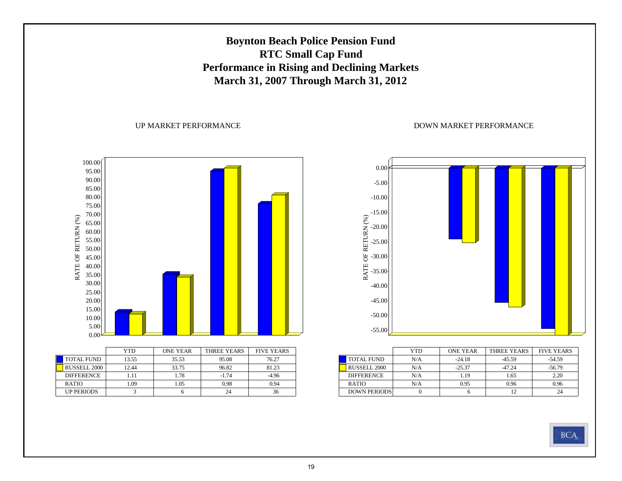# **Boynton Beach Police Pension Fund RTC Small Cap Fund Performance in Rising and Declining Markets March 31, 2007 Through March 31, 2012**

#### UP MARKET PERFORMANCE





|                     | YTD | <b>ONE YEAR</b> | THREE YEARS | <b>FIVE YEARS</b> |
|---------------------|-----|-----------------|-------------|-------------------|
| <b>TOTAL FUND</b>   | N/A | $-24.18$        | $-45.59$    | $-54.59$          |
| <b>RUSSELL 2000</b> | N/A | $-25.37$        | $-47.24$    | $-56.79$          |
| <b>DIFFERENCE</b>   | N/A | 1.19            | 1.65        | 2.20              |
| <b>RATIO</b>        | N/A | 0.95            | 0.96        | 0.96              |
| <b>DOWN PERIODS</b> |     |                 | 12          | 24                |

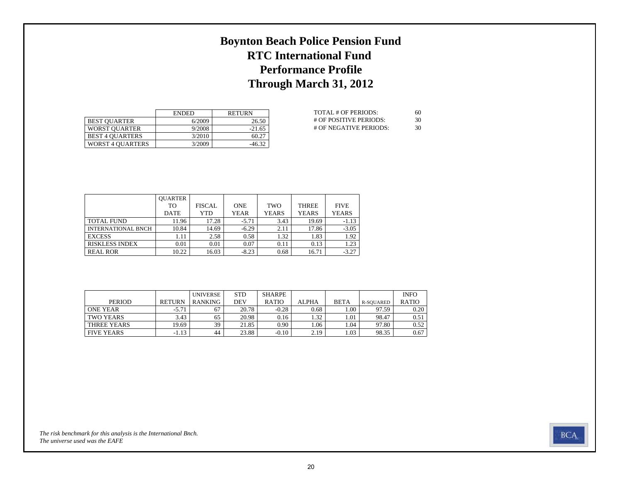# **Boynton Beach Police Pension Fund RTC International Fund Performance Profile Through March 31, 2012**

|                         | <b>ENDED</b> | <b>RETURN</b> |
|-------------------------|--------------|---------------|
| <b>BEST OUARTER</b>     | 6/2009       | 26.50         |
| <b>WORST OUARTER</b>    | 9/2008       | $-21.65$      |
| <b>BEST 4 OUARTERS</b>  | 3/2010       | 60.27         |
| <b>WORST 4 OUARTERS</b> | 3/2009       | $-46.32$      |

| TOTAL # OF PERIODS:      | 60 |
|--------------------------|----|
| $#$ OF POSITIVE PERIODS: | 30 |
| # OF NEGATIVE PERIODS:   | 30 |

|                           | <b>OUARTER</b> |               |             |              |              |              |
|---------------------------|----------------|---------------|-------------|--------------|--------------|--------------|
|                           | TO             | <b>FISCAL</b> | <b>ONE</b>  | TWO          | <b>THREE</b> | <b>FIVE</b>  |
|                           | <b>DATE</b>    | YTD           | <b>YEAR</b> | <b>YEARS</b> | <b>YEARS</b> | <b>YEARS</b> |
| <b>TOTAL FUND</b>         | 11.96          | 17.28         | $-5.71$     | 3.43         | 19.69        | $-1.13$      |
| <b>INTERNATIONAL BNCH</b> | 10.84          | 14.69         | $-6.29$     | 2.11         | 17.86        | $-3.05$      |
| <b>EXCESS</b>             | 1.11           | 2.58          | 0.58        | 1.32         | 1.83         | 1.92         |
| <b>RISKLESS INDEX</b>     | 0.01           | 0.01          | 0.07        | 0.11         | 0.13         | 1.23         |
| <b>REAL ROR</b>           | 10.22          | 16.03         | $-8.23$     | 0.68         | 16.71        | $-3.27$      |

|                   |               | <b>UNIVERSE</b> | <b>STD</b> | SHARPE       |       |             |           | <b>INFO</b>  |
|-------------------|---------------|-----------------|------------|--------------|-------|-------------|-----------|--------------|
| <b>PERIOD</b>     | <b>RETURN</b> | <b>RANKING</b>  | DEV        | <b>RATIO</b> | ALPHA | <b>BETA</b> | R-SOUARED | <b>RATIO</b> |
| <b>ONE YEAR</b>   | $-5.71$       | 67              | 20.78      | $-0.28$      | 0.68  | 00.1        | 97.59     | 0.20         |
| TWO YEARS         | 3.43          | 65              | 20.98      | 0.16         | 1.32  | 1.01        | 98.47     | 0.51         |
| THREE YEARS       | 19.69         | 39              | 21.85      | 0.90         | . 06  | 1.04        | 97.80     | 0.52         |
| <b>FIVE YEARS</b> | $-1.13$       | 44              | 23.88      | $-0.10$      | 2.19  | 1.03        | 98.35     | 0.67         |

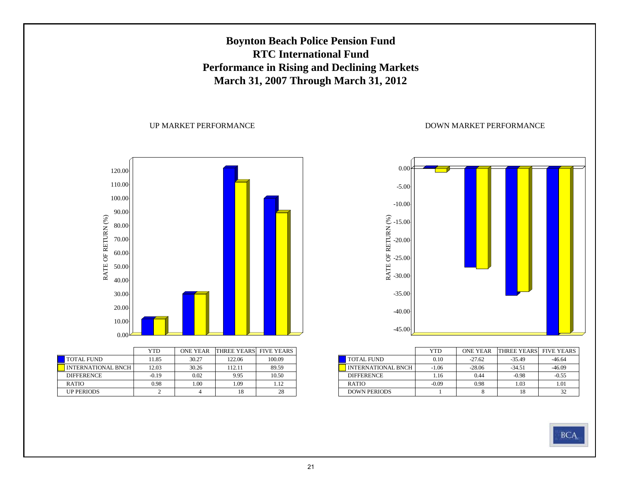

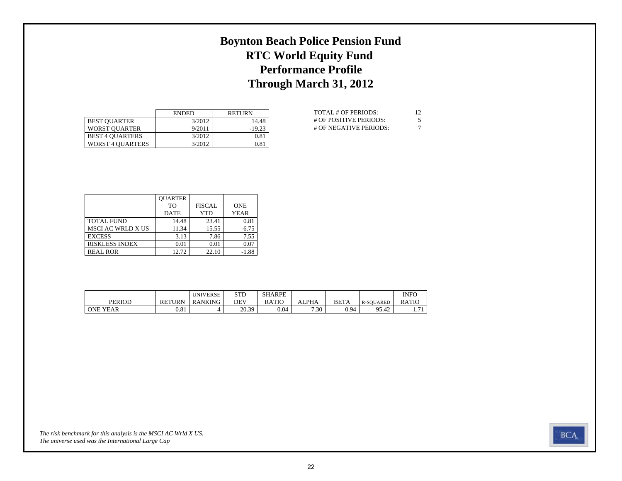# **Boynton Beach Police Pension Fund RTC World Equity Fund Performance Profile Through March 31, 2012**

|                         | <b>ENDED</b> | <b>RETURN</b> |
|-------------------------|--------------|---------------|
| <b>BEST OUARTER</b>     | 3/2012       | 14.48         |
| <b>WORST OUARTER</b>    | 9/2011       | $-19.23$      |
| <b>BEST 4 OUARTERS</b>  | 3/2012       | 0.81          |
| <b>WORST 4 OUARTERS</b> | 3/2012       | 0.81          |

| TOTAL # OF PERIODS:    | 12 |
|------------------------|----|
| # OF POSITIVE PERIODS: | 5  |
| # OF NEGATIVE PERIODS: | 7  |

|                          | <b>OUARTER</b> |               |             |
|--------------------------|----------------|---------------|-------------|
|                          | TО             | <b>FISCAL</b> | <b>ONE</b>  |
|                          | <b>DATE</b>    | YTD           | <b>YEAR</b> |
| <b>TOTAL FUND</b>        | 14.48          | 23.41         | 0.81        |
| <b>MSCI AC WRLD X US</b> | 11.34          | 15.55         | $-6.75$     |
| <b>EXCESS</b>            | 3.13           | 7.86          | 7.55        |
| <b>RISKLESS INDEX</b>    | 0.01           | 0.01          | 0.07        |
| <b>REAL ROR</b>          | 12.72          | 22.10         | $-1.88$     |

|                 |               | <b>UNIVERSE</b> | $_{\rm STD}$ | <b>SHARPE</b> |            |             |                               | <b>INFC</b>  |
|-----------------|---------------|-----------------|--------------|---------------|------------|-------------|-------------------------------|--------------|
| PERIOD          | <b>RETURN</b> | <b>RANKING</b>  | <b>DEV</b>   | RATIO         | <b>PHA</b> | <b>BETA</b> | <b>R-SOUARED</b>              | <b>RATIO</b> |
| <b>ONE YEAR</b> | 0.81          |                 | 20.39        | 0.04          | 7.30       | 0.94        | $\overline{1}$<br>∩≤<br>1J.42 | $-1$<br>.    |

*The universe used was the International Large Cap The risk benchmark for this analysis is the MSCI AC Wrld X US.*

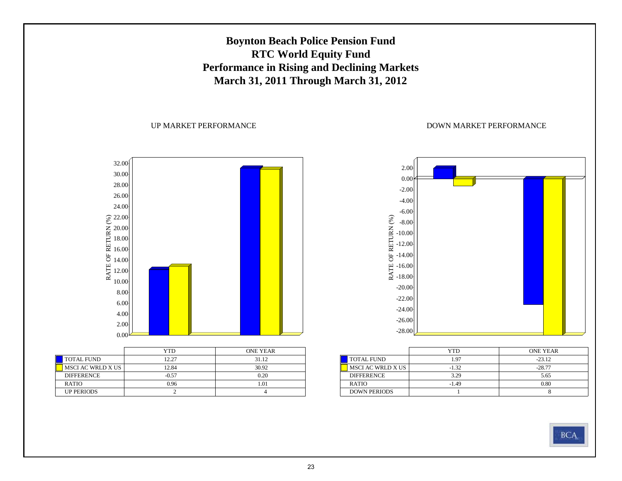# **Boynton Beach Police Pension Fund RTC World Equity Fund Performance in Rising and Declining Markets March 31, 2011 Through March 31, 2012**

#### UP MARKET PERFORMANCE



|                          | YTD     | <b>ONE YEAR</b> |
|--------------------------|---------|-----------------|
| <b>TOTAL FUND</b>        | 12.27   | 31.12           |
| <b>MSCI AC WRLD X US</b> | 12.84   | 30.92           |
| <b>DIFFERENCE</b>        | $-0.57$ | 0.20            |
| <b>RATIO</b>             | 0.96    | 1.01            |
| <b>UP PERIODS</b>        |         |                 |



|                     | YTD     | <b>ONE YEAR</b> |
|---------------------|---------|-----------------|
| <b>TOTAL FUND</b>   | 1.97    | $-23.12$        |
| MSCI AC WRLD X US   | $-1.32$ | $-28.77$        |
| <b>DIFFERENCE</b>   | 3.29    | 5.65            |
| <b>RATIO</b>        | $-1.49$ | 0.80            |
| <b>DOWN PERIODS</b> |         |                 |

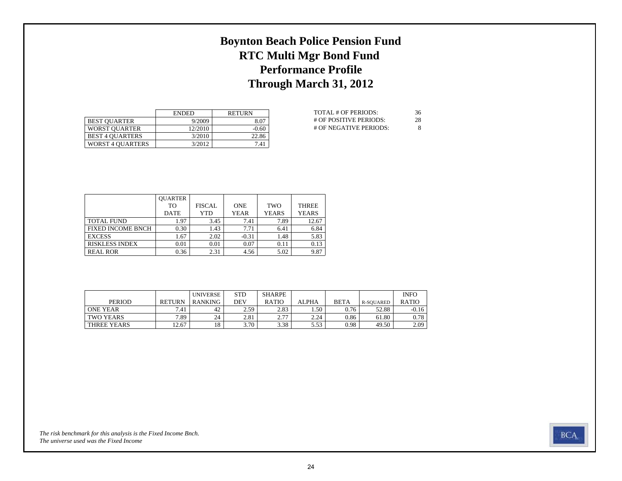# **Boynton Beach Police Pension Fund RTC Multi Mgr Bond Fund Performance Profile Through March 31, 2012**

|                         | <b>ENDED</b> | <b>RETURN</b> |
|-------------------------|--------------|---------------|
| <b>BEST OUARTER</b>     | 9/2009       | 8.07          |
| <b>WORST OUARTER</b>    | 12/2010      | $-0.60$       |
| <b>BEST 4 OUARTERS</b>  | 3/2010       | 22.86         |
| <b>WORST 4 OUARTERS</b> | 3/2012       | 7.41          |

| TOTAL # OF PERIODS:    | 36 |
|------------------------|----|
| # OF POSITIVE PERIODS: | 28 |
| # OF NEGATIVE PERIODS: | 8  |

|                          | <b>OUARTER</b> |               |             |              |              |
|--------------------------|----------------|---------------|-------------|--------------|--------------|
|                          | TО             | <b>FISCAL</b> | <b>ONE</b>  | <b>TWO</b>   | <b>THREE</b> |
|                          | <b>DATE</b>    | YTD           | <b>YEAR</b> | <b>YEARS</b> | <b>YEARS</b> |
| <b>TOTAL FUND</b>        | 1.97           | 3.45          | 7.41        | 7.89         | 12.67        |
| <b>FIXED INCOME BNCH</b> | 0.30           | 1.43          | 7.71        | 6.41         | 6.84         |
| <b>EXCESS</b>            | 1.67           | 2.02          | $-0.31$     | 1.48         | 5.83         |
| <b>RISKLESS INDEX</b>    | 0.01           | 0.01          | 0.07        | 0.11         | 0.13         |
| <b>REAL ROR</b>          | 0.36           | 2.31          | 4.56        | 5.02         | 9.87         |

|                  |               | <b>UNIVERSE</b> | <b>STD</b> | <b>SHARPE</b> |         |             |           | <b>INFO</b>  |
|------------------|---------------|-----------------|------------|---------------|---------|-------------|-----------|--------------|
| <b>PERIOD</b>    | <b>RETURN</b> | RANKING         | DEV        | <b>RATIO</b>  | ALPHA   | <b>BETA</b> | R-SOUARED | <b>RATIO</b> |
| <b>ONE YEAR</b>  | 7.41          | 42              | 2.59       | 2.83          | . .50 ° | 0.76        | 52.88     | $-0.16$      |
| <b>TWO YEARS</b> | 7.89          | 24              | 2.81       | 777           | 2.24    | 0.86        | 61.80     | 0.78         |
| THREE YEARS      | 12.67         | 18              | 3.70       | 3.38          | 5.53    | 0.98        | 49.50     | 2.09         |

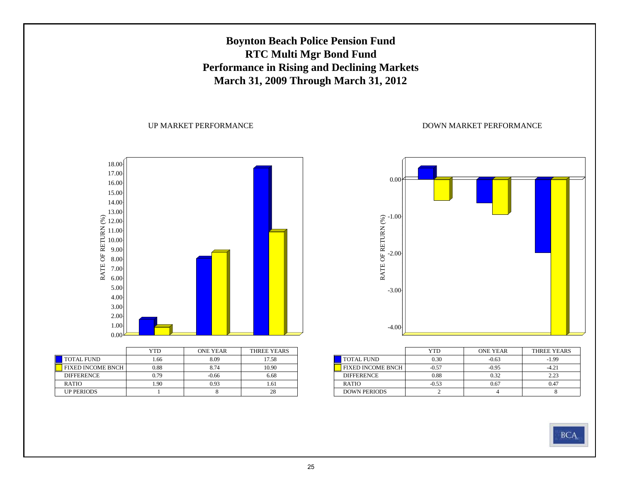# **Boynton Beach Police Pension Fund RTC Multi Mgr Bond Fund Performance in Rising and Declining Markets March 31, 2009 Through March 31, 2012**

UP MARKET PERFORMANCE



|                   | 1 I I J | UNE I EAR | I HREE I EARS |
|-------------------|---------|-----------|---------------|
| <b>TOTAL FUND</b> | .66     | 8.09      | 17.58         |
| FIXED INCOME BNCH | 0.88    | 8.74      | 10.90         |
| <b>DIFFERENCE</b> | 0.79    | $-0.66$   | 6.68          |
| <b>RATIO</b>      | .90     | 0.93      | 1.61          |
| <b>UP PERIODS</b> |         |           | 28            |



|                          | YTD     | <b>ONE YEAR</b> | THREE YEARS |
|--------------------------|---------|-----------------|-------------|
| <b>TOTAL FUND</b>        | 0.30    | $-0.63$         | $-1.99$     |
| <b>FIXED INCOME BNCH</b> | $-0.57$ | $-0.95$         | $-4.21$     |
| <b>DIFFERENCE</b>        | 0.88    | 0.32            | 2.23        |
| <b>RATIO</b>             | $-0.53$ | 0.67            | 0.47        |
| <b>DOWN PERIODS</b>      |         |                 |             |

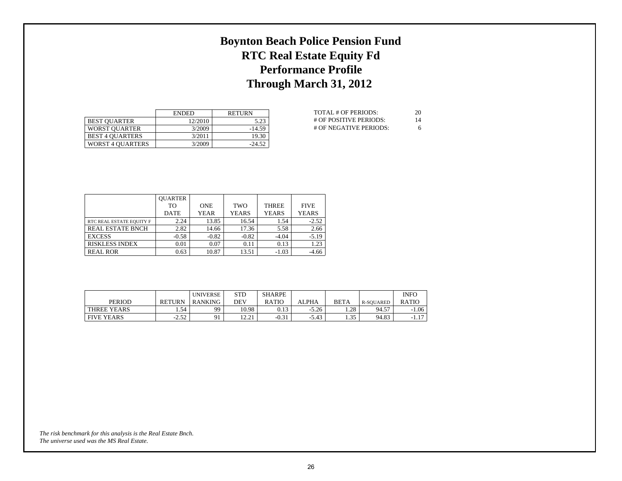# **Boynton Beach Police Pension Fund RTC Real Estate Equity Fd Performance Profile Through March 31, 2012**

|                        | <b>ENDED</b> | <b>RETURN</b> |
|------------------------|--------------|---------------|
| <b>BEST OUARTER</b>    | 12/2010      | 5.23          |
| <b>WORST OUARTER</b>   | 3/2009       | $-14.59$      |
| <b>BEST 4 OUARTERS</b> | 3/2011       | 19.30         |
| WORST 4 OUARTERS       | 3/2009       | $-24.52$      |

| TOTAL # OF PERIODS:    | 20 |
|------------------------|----|
| # OF POSITIVE PERIODS: | 14 |
| # OF NEGATIVE PERIODS: | 6  |

|                          | <b>OUARTER</b> |             |              |              |              |
|--------------------------|----------------|-------------|--------------|--------------|--------------|
|                          | TО             | <b>ONE</b>  | <b>TWO</b>   | <b>THREE</b> | <b>FIVE</b>  |
|                          | <b>DATE</b>    | <b>YEAR</b> | <b>YEARS</b> | <b>YEARS</b> | <b>YEARS</b> |
| RTC REAL ESTATE EQUITY F | 2.24           | 13.85       | 16.54        | 1.54         | $-2.52$      |
| <b>REAL ESTATE BNCH</b>  | 2.82           | 14.66       | 17.36        | 5.58         | 2.66         |
| <b>EXCESS</b>            | $-0.58$        | $-0.82$     | $-0.82$      | $-4.04$      | $-5.19$      |
| <b>RISKLESS INDEX</b>    | 0.01           | 0.07        | 0.11         | 0.13         | 1.23         |
| <b>REAL ROR</b>          | 0.63           | 10.87       | 13.51        | $-1.03$      | $-4.66$      |

|                   |               | <b>UNIVERSE</b> | STD                    | <b>SHARPE</b> |         |              |           | <b>INFO</b>   |
|-------------------|---------------|-----------------|------------------------|---------------|---------|--------------|-----------|---------------|
| PERIOD            | <b>RETURN</b> | RANKING         | DEV                    | <b>RATIC</b>  | ALPHA   | <b>BETA</b>  | R-SOUARED | <b>RATIO</b>  |
| THREE YEARS       | . . 54        | 99              | 10.98                  | 0.13          | $-5.26$ | 1.28         | 94.57     | .06           |
| <b>FIVE YEARS</b> | 252<br>-2.34  | Q <sub>1</sub>  | $\sqrt{2}$ 21<br>14.41 | $-0.31$       | $-5.43$ | 25<br>ر د. ۱ | 94.83     | 17<br>$-1.1.$ |

*The universe used was the MS Real Estate. The risk benchmark for this analysis is the Real Estate Bnch.*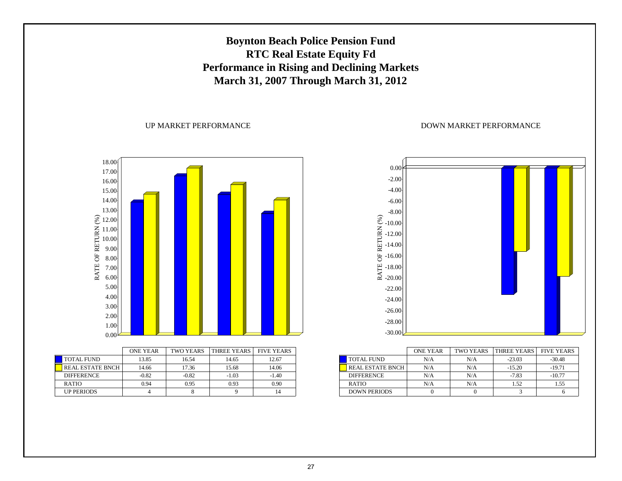# **Boynton Beach Police Pension Fund RTC Real Estate Equity Fd Performance in Rising and Declining Markets March 31, 2007 Through March 31, 2012**

#### UP MARKET PERFORMANCE



|                         | <b>ONE YEAR</b> | TWO YEARS | THREE YEARS | <b>FIVE YEARS</b> |
|-------------------------|-----------------|-----------|-------------|-------------------|
| <b>TOTAL FUND</b>       | 13.85           | 16.54     | 14.65       | 12.67             |
| <b>REAL ESTATE BNCH</b> | 14.66           | 17.36     | 15.68       | 14.06             |
| <b>DIFFERENCE</b>       | $-0.82$         | $-0.82$   | $-1.03$     | $-1.40$           |
| <b>RATIO</b>            | 0.94            | 0.95      | 0.93        | 0.90              |
| <b>UP PERIODS</b>       |                 |           |             | 14                |



|                         | <b>ONE YEAR</b> | <b>TWO YEARS</b> | THREE YEARS | <b>FIVE YEARS</b> |
|-------------------------|-----------------|------------------|-------------|-------------------|
| <b>TOTAL FUND</b>       | N/A             | N/A              | $-23.03$    | $-30.48$          |
| <b>REAL ESTATE BNCH</b> | N/A             | N/A              | $-15.20$    | $-19.71$          |
| <b>DIFFERENCE</b>       | N/A             | N/A              | $-7.83$     | $-10.77$          |
| <b>RATIO</b>            | N/A             | N/A              | 1.52        | 1.55              |
| <b>DOWN PERIODS</b>     |                 |                  |             |                   |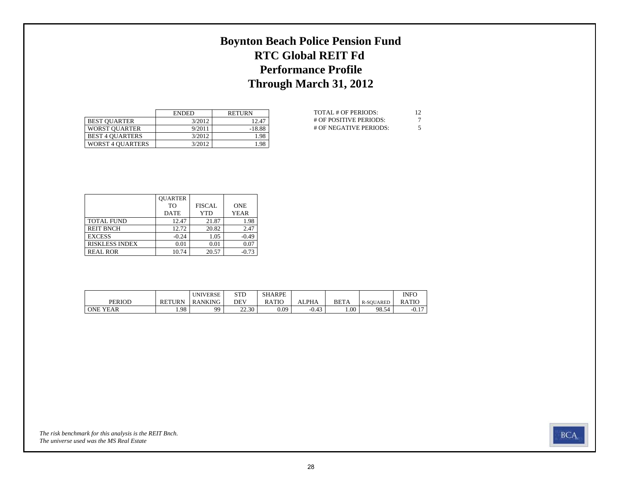# **Boynton Beach Police Pension Fund RTC Global REIT Fd Performance Profile Through March 31, 2012**

|                         | <b>ENDED</b> | <b>RETURN</b> |
|-------------------------|--------------|---------------|
| <b>BEST OUARTER</b>     | 3/2012       | 12.47         |
| <b>WORST OUARTER</b>    | 9/2011       | $-18.88$      |
| <b>BEST 4 OUARTERS</b>  | 3/2012       | 1.98          |
| <b>WORST 4 OUARTERS</b> | 3/2012       | 1.98          |

| TOTAL # OF PERIODS:    | 12 |
|------------------------|----|
| # OF POSITIVE PERIODS: |    |
| # OF NEGATIVE PERIODS: | 5  |

|                       | <b>QUARTER</b> |               |             |
|-----------------------|----------------|---------------|-------------|
|                       | TО             | <b>FISCAL</b> | <b>ONE</b>  |
|                       | <b>DATE</b>    | YTD           | <b>YEAR</b> |
| <b>TOTAL FUND</b>     | 12.47          | 21.87         | 1.98        |
| <b>REIT BNCH</b>      | 12.72          | 20.82         | 2.47        |
| <b>EXCESS</b>         | $-0.24$        | 1.05          | $-0.49$     |
| <b>RISKLESS INDEX</b> | 0.01           | 0.01          | 0.07        |
| <b>REAL ROR</b>       | 10.74          | 20.57         | $-0.73$     |

|                 |               | <b>UNIVERSE</b> | <b>STD</b> | <b>SHARPE</b> |              |             |                  | <b>INFO</b>      |
|-----------------|---------------|-----------------|------------|---------------|--------------|-------------|------------------|------------------|
| <b>PERIOD</b>   | <b>RETURN</b> | <b>RANKING</b>  | DEV        | RATIO         | <b>ALPHA</b> | <b>BETA</b> | <b>R-SOUARED</b> | <b>RATIC</b>     |
| <b>ONE YEAR</b> | 1.98          | QQ              | 22.30      | 0.09          | $-0.43$      | $1.00-1$    | 98.54            | $\sim$<br>$-U.1$ |

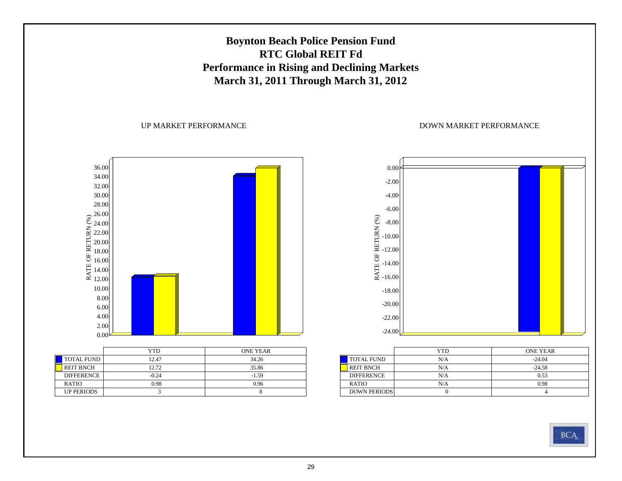

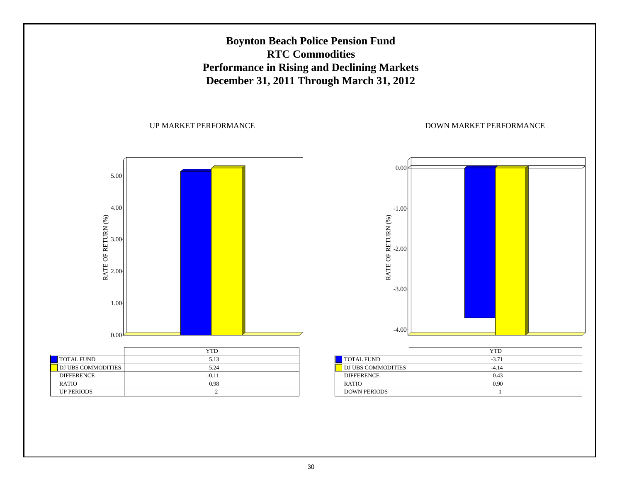

30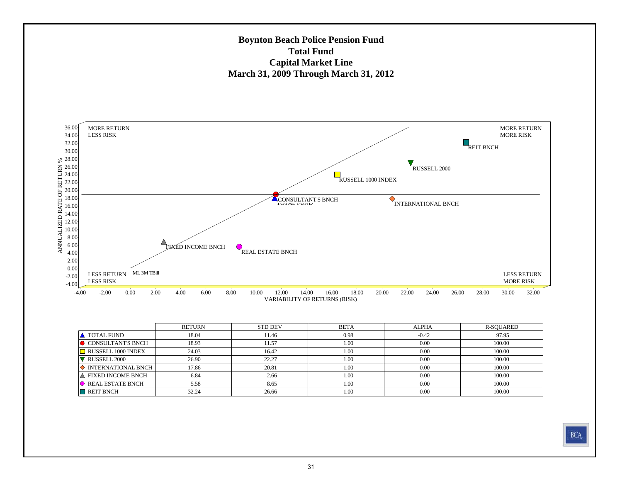### **Boynton Beach Police Pension Fund Total FundCapital Market Line March 31, 2009 Through March 31, 2012**



|                               | <b>RETURN</b> | <b>STD DEV</b> | <b>BETA</b> | <b>ALPHA</b> | R-SQUARED |
|-------------------------------|---------------|----------------|-------------|--------------|-----------|
| <b>A</b> TOTAL FUND           | 18.04         | 11.46          | 0.98        | $-0.42$      | 97.95     |
| <b>O</b> CONSULTANT'S BNCH    | 18.93         | 11.57          | 1.00        | 0.00         | 100.00    |
| $\Box$ RUSSELL 1000 INDEX     | 24.03         | 16.42          | 1.00        | 0.00         | 100.00    |
| RUSSELL 2000                  | 26.90         | 22.27          | 1.00        | 0.00         | 100.00    |
| $\Diamond$ INTERNATIONAL BNCH | 17.86         | 20.81          | 1.00        | 0.00         | 100.00    |
| A FIXED INCOME BNCH           | 6.84          | 2.66           | 1.00        | 0.00         | 100.00    |
| $\bullet$ REAL ESTATE BNCH    | 5.58          | 8.65           | 1.00        | 0.00         | 100.00    |
| REIT BNCH                     | 32.24         | 26.66          | 1.00        | 0.00         | 100.00    |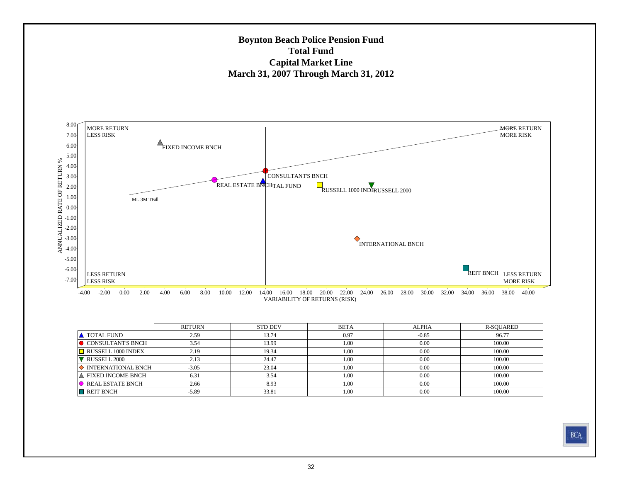

|                               | <b>RETURN</b> | <b>STD DEV</b> | <b>BETA</b> | <b>ALPHA</b> | R-SQUARED |
|-------------------------------|---------------|----------------|-------------|--------------|-----------|
| <b>A</b> TOTAL FUND           | 2.59          | 13.74          | 0.97        | $-0.85$      | 96.77     |
| $\bullet$ CONSULTANT'S BNCH   | 3.54          | 13.99          | 1.00        | 0.00         | 100.00    |
| RUSSELL 1000 INDEX            | 2.19          | 19.34          | 1.00        | 0.00         | 100.00    |
| RUSSELL 2000                  | 2.13          | 24.47          | 1.00        | 0.00         | 100.00    |
| $\Diamond$ INTERNATIONAL BNCH | $-3.05$       | 23.04          | 1.00        | 0.00         | 100.00    |
| A FIXED INCOME BNCH           | 6.31          | 3.54           | 1.00        | 0.00         | 100.00    |
| REAL ESTATE BNCH              | 2.66          | 8.93           | 1.00        | 0.00         | 100.00    |
| $\blacksquare$ REIT BNCH      | $-5.89$       | 33.81          | 1.00        | 0.00         | 100.00    |

**BCA**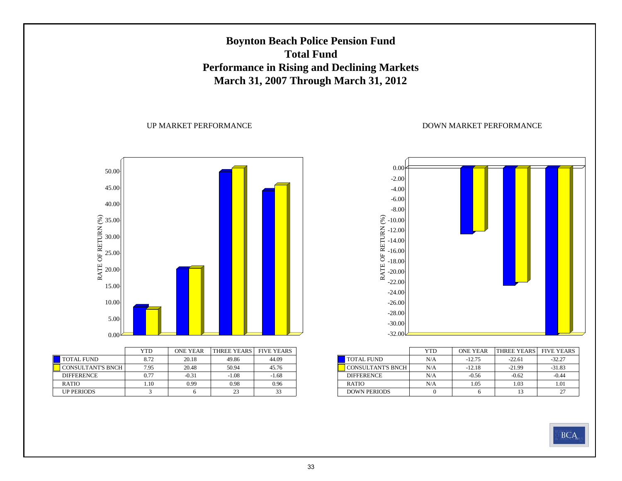# **Boynton Beach Police Pension Fund Total FundPerformance in Rising and Declining Markets March 31, 2007 Through March 31, 2012**

### UP MARKET PERFORMANCE



|                          | YTD  | <b>ONE YEAR</b> | THREE YEARS | <b>FIVE YEARS</b> |
|--------------------------|------|-----------------|-------------|-------------------|
| <b>TOTAL FUND</b>        | 8.72 | 20.18           | 49.86       | 44.09             |
| <b>CONSULTANT'S BNCH</b> | 7.95 | 20.48           | 50.94       | 45.76             |
| <b>DIFFERENCE</b>        | 0.77 | $-0.31$         | $-1.08$     | $-1.68$           |
| <b>RATIO</b>             | 1.10 | 0.99            | 0.98        | 0.96              |
| <b>UP PERIODS</b>        |      |                 | 23          | 33                |



|                          | YTD | <b>ONE YEAR</b> | <b>THREE YEARS</b> | <b>FIVE YEARS</b> |
|--------------------------|-----|-----------------|--------------------|-------------------|
| <b>TOTAL FUND</b>        | N/A | $-12.75$        | $-22.61$           | $-32.27$          |
| <b>CONSULTANT'S BNCH</b> | N/A | $-12.18$        | $-21.99$           | $-31.83$          |
| <b>DIFFERENCE</b>        | N/A | $-0.56$         | $-0.62$            | $-0.44$           |
| <b>RATIO</b>             | N/A | 1.05            | 1.03               | 1.01              |
| <b>DOWN PERIODS</b>      |     |                 | 13                 |                   |

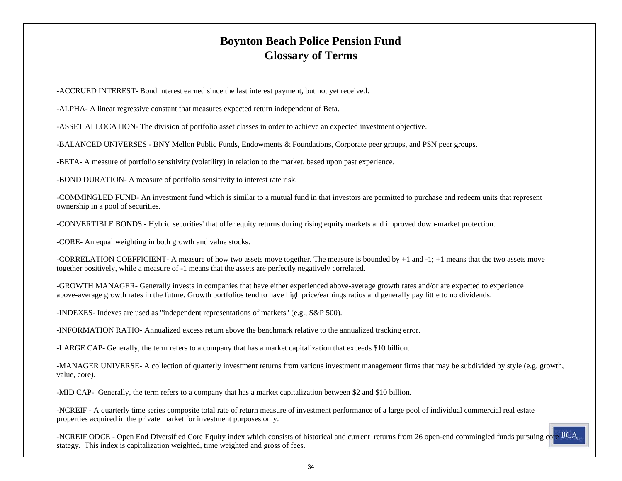# **Boynton Beach Police Pension Fund Glossary of Terms**

-ACCRUED INTEREST- Bond interest earned since the last interest payment, but not yet received.

-ALPHA- A linear regressive constant that measures expected return independent of Beta.

-ASSET ALLOCATION- The division of portfolio asset classes in order to achieve an expected investment objective.

-BALANCED UNIVERSES - BNY Mellon Public Funds, Endowments & Foundations, Corporate peer groups, and PSN peer groups.

-BETA- A measure of portfolio sensitivity (volatility) in relation to the market, based upon past experience.

-BOND DURATION- A measure of portfolio sensitivity to interest rate risk.

-COMMINGLED FUND- An investment fund which is similar to a mutual fund in that investors are permitted to purchase and redeem units that represent ownership in a pool of securities.

-CONVERTIBLE BONDS - Hybrid securities' that offer equity returns during rising equity markets and improved down-market protection.

-CORE- An equal weighting in both growth and value stocks.

-CORRELATION COEFFICIENT- A measure of how two assets move together. The measure is bounded by +1 and -1; +1 means that the two assets move together positively, while a measure of -1 means that the assets are perfectly negatively correlated.

-GROWTH MANAGER- Generally invests in companies that have either experienced above-average growth rates and/or are expected to experience above-average growth rates in the future. Growth portfolios tend to have high price/earnings ratios and generally pay little to no dividends.

-INDEXES- Indexes are used as "independent representations of markets" (e.g., S&P 500).

-INFORMATION RATIO- Annualized excess return above the benchmark relative to the annualized tracking error.

-LARGE CAP- Generally, the term refers to a company that has a market capitalization that exceeds \$10 billion.

-MANAGER UNIVERSE- A collection of quarterly investment returns from various investment management firms that may be subdivided by style (e.g. growth, value, core).

-MID CAP- Generally, the term refers to a company that has a market capitalization between \$2 and \$10 billion.

-NCREIF - A quarterly time series composite total rate of return measure of investment performance of a large pool of individual commercial real estate properties acquired in the private market for investment purposes only.

-NCREIF ODCE - Open End Diversified Core Equity index which consists of historical and current returns from 26 open-end commingled funds pursuing core BCA stategy. This index is capitalization weighted, time weighted and gross of fees.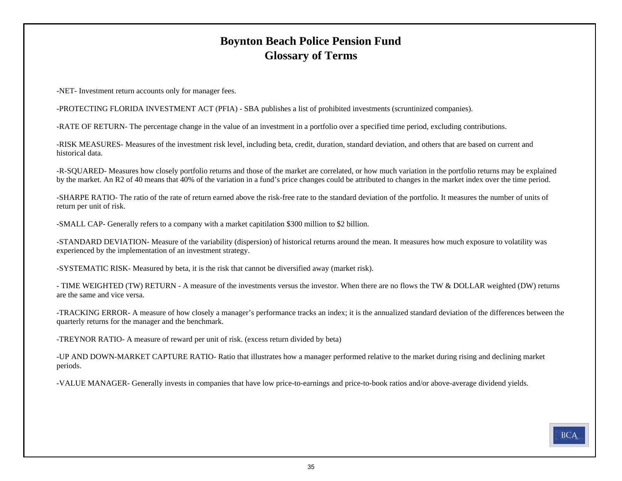# **Boynton Beach Police Pension Fund Glossary of Terms**

-NET- Investment return accounts only for manager fees.

-PROTECTING FLORIDA INVESTMENT ACT (PFIA) - SBA publishes a list of prohibited investments (scruntinized companies).

-RATE OF RETURN- The percentage change in the value of an investment in a portfolio over a specified time period, excluding contributions.

-RISK MEASURES- Measures of the investment risk level, including beta, credit, duration, standard deviation, and others that are based on current and historical data.

-R-SQUARED- Measures how closely portfolio returns and those of the market are correlated, or how much variation in the portfolio returns may be explained by the market. An R2 of 40 means that 40% of the variation in a fund's price changes could be attributed to changes in the market index over the time period.

-SHARPE RATIO- The ratio of the rate of return earned above the risk-free rate to the standard deviation of the portfolio. It measures the number of units of return per unit of risk.

-SMALL CAP- Generally refers to a company with a market capitilation \$300 million to \$2 billion.

-STANDARD DEVIATION- Measure of the variability (dispersion) of historical returns around the mean. It measures how much exposure to volatility was experienced by the implementation of an investment strategy.

-SYSTEMATIC RISK- Measured by beta, it is the risk that cannot be diversified away (market risk).

- TIME WEIGHTED (TW) RETURN - A measure of the investments versus the investor. When there are no flows the TW & DOLLAR weighted (DW) returns are the same and vice versa.

-TRACKING ERROR- A measure of how closely a manager's performance tracks an index; it is the annualized standard deviation of the differences between the quarterly returns for the manager and the benchmark.

-TREYNOR RATIO- A measure of reward per unit of risk. (excess return divided by beta)

-UP AND DOWN-MARKET CAPTURE RATIO- Ratio that illustrates how a manager performed relative to the market during rising and declining market periods.

-VALUE MANAGER- Generally invests in companies that have low price-to-earnings and price-to-book ratios and/or above-average dividend yields.